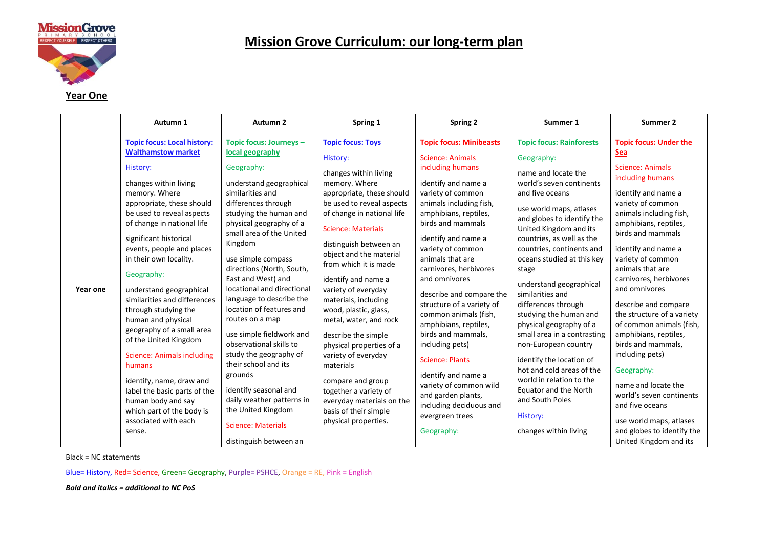

#### **Year One**

|          | Autumn 1                                                                                                                                                                                                                                                                                                                                                                                                                                                                                                                                                                                                                                                                    | Autumn <sub>2</sub>                                                                                                                                                                                                                                                                                                                                                                                                                                                                                                                                                                                                                                                 | Spring 1                                                                                                                                                                                                                                                                                                                                                                                                                                                                                                                                                                                                                      | Spring 2                                                                                                                                                                                                                                                                                                                                                                                                                                                                                                                                                                                                                | Summer 1                                                                                                                                                                                                                                                                                                                                                                                                                                                                                                                                                                                                                                                        | Summer 2                                                                                                                                                                                                                                                                                                                                                                                                                                                                                                                                                                                                                                       |
|----------|-----------------------------------------------------------------------------------------------------------------------------------------------------------------------------------------------------------------------------------------------------------------------------------------------------------------------------------------------------------------------------------------------------------------------------------------------------------------------------------------------------------------------------------------------------------------------------------------------------------------------------------------------------------------------------|---------------------------------------------------------------------------------------------------------------------------------------------------------------------------------------------------------------------------------------------------------------------------------------------------------------------------------------------------------------------------------------------------------------------------------------------------------------------------------------------------------------------------------------------------------------------------------------------------------------------------------------------------------------------|-------------------------------------------------------------------------------------------------------------------------------------------------------------------------------------------------------------------------------------------------------------------------------------------------------------------------------------------------------------------------------------------------------------------------------------------------------------------------------------------------------------------------------------------------------------------------------------------------------------------------------|-------------------------------------------------------------------------------------------------------------------------------------------------------------------------------------------------------------------------------------------------------------------------------------------------------------------------------------------------------------------------------------------------------------------------------------------------------------------------------------------------------------------------------------------------------------------------------------------------------------------------|-----------------------------------------------------------------------------------------------------------------------------------------------------------------------------------------------------------------------------------------------------------------------------------------------------------------------------------------------------------------------------------------------------------------------------------------------------------------------------------------------------------------------------------------------------------------------------------------------------------------------------------------------------------------|------------------------------------------------------------------------------------------------------------------------------------------------------------------------------------------------------------------------------------------------------------------------------------------------------------------------------------------------------------------------------------------------------------------------------------------------------------------------------------------------------------------------------------------------------------------------------------------------------------------------------------------------|
| Year one | <b>Topic focus: Local history:</b><br><b>Walthamstow market</b><br>History:<br>changes within living<br>memory. Where<br>appropriate, these should<br>be used to reveal aspects<br>of change in national life<br>significant historical<br>events, people and places<br>in their own locality.<br>Geography:<br>understand geographical<br>similarities and differences<br>through studying the<br>human and physical<br>geography of a small area<br>of the United Kingdom<br><b>Science: Animals including</b><br>humans<br>identify, name, draw and<br>label the basic parts of the<br>human body and say<br>which part of the body is<br>associated with each<br>sense. | Topic focus: Journeys -<br>local geography<br>Geography:<br>understand geographical<br>similarities and<br>differences through<br>studying the human and<br>physical geography of a<br>small area of the United<br>Kingdom<br>use simple compass<br>directions (North, South,<br>East and West) and<br>locational and directional<br>language to describe the<br>location of features and<br>routes on a map<br>use simple fieldwork and<br>observational skills to<br>study the geography of<br>their school and its<br>grounds<br>identify seasonal and<br>daily weather patterns in<br>the United Kingdom<br><b>Science: Materials</b><br>distinguish between an | <b>Topic focus: Toys</b><br>History:<br>changes within living<br>memory. Where<br>appropriate, these should<br>be used to reveal aspects<br>of change in national life<br><b>Science: Materials</b><br>distinguish between an<br>object and the material<br>from which it is made<br>identify and name a<br>variety of everyday<br>materials, including<br>wood, plastic, glass,<br>metal, water, and rock<br>describe the simple<br>physical properties of a<br>variety of everyday<br>materials<br>compare and group<br>together a variety of<br>everyday materials on the<br>basis of their simple<br>physical properties. | <b>Topic focus: Minibeasts</b><br>Science: Animals<br>including humans<br>identify and name a<br>variety of common<br>animals including fish,<br>amphibians, reptiles,<br>birds and mammals<br>identify and name a<br>variety of common<br>animals that are<br>carnivores, herbivores<br>and omnivores<br>describe and compare the<br>structure of a variety of<br>common animals (fish,<br>amphibians, reptiles,<br>birds and mammals,<br>including pets)<br><b>Science: Plants</b><br>identify and name a<br>variety of common wild<br>and garden plants,<br>including deciduous and<br>evergreen trees<br>Geography: | <b>Topic focus: Rainforests</b><br>Geography:<br>name and locate the<br>world's seven continents<br>and five oceans<br>use world maps, atlases<br>and globes to identify the<br>United Kingdom and its<br>countries, as well as the<br>countries, continents and<br>oceans studied at this key<br>stage<br>understand geographical<br>similarities and<br>differences through<br>studying the human and<br>physical geography of a<br>small area in a contrasting<br>non-European country<br>identify the location of<br>hot and cold areas of the<br>world in relation to the<br>Equator and the North<br>and South Poles<br>History:<br>changes within living | <b>Topic focus: Under the</b><br>Sea<br><b>Science: Animals</b><br>including humans<br>identify and name a<br>variety of common<br>animals including fish,<br>amphibians, reptiles,<br>birds and mammals<br>identify and name a<br>variety of common<br>animals that are<br>carnivores, herbivores<br>and omnivores<br>describe and compare<br>the structure of a variety<br>of common animals (fish,<br>amphibians, reptiles,<br>birds and mammals,<br>including pets)<br>Geography:<br>name and locate the<br>world's seven continents<br>and five oceans<br>use world maps, atlases<br>and globes to identify the<br>United Kingdom and its |

Black = NC statements

Blue= History, Red= Science, Green= Geography, Purple= PSHCE, Orange = RE, Pink = English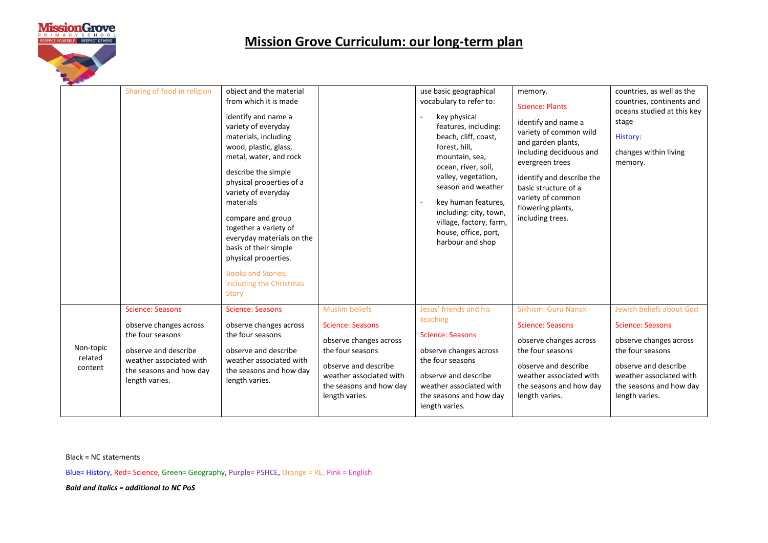

|                                 | Sharing of food in religion                                                                                                                                           | object and the material<br>from which it is made<br>identify and name a<br>variety of everyday<br>materials, including<br>wood, plastic, glass,<br>metal, water, and rock<br>describe the simple<br>physical properties of a<br>variety of everyday<br>materials<br>compare and group<br>together a variety of<br>everyday materials on the<br>basis of their simple<br>physical properties.<br>Books and Stories,<br>including the Christmas<br>Story |                                                                                                                                                                                                | use basic geographical<br>vocabulary to refer to:<br>key physical<br>features, including:<br>beach, cliff, coast,<br>forest, hill,<br>mountain, sea,<br>ocean, river, soil,<br>valley, vegetation,<br>season and weather<br>key human features,<br>including: city, town,<br>village, factory, farm,<br>house, office, port,<br>harbour and shop | memory.<br><b>Science: Plants</b><br>identify and name a<br>variety of common wild<br>and garden plants,<br>including deciduous and<br>evergreen trees<br>identify and describe the<br>basic structure of a<br>variety of common<br>flowering plants,<br>including trees. | countries, as well as the<br>countries, continents and<br>oceans studied at this key<br>stage<br><b>History:</b><br>changes within living<br>memory.                                              |
|---------------------------------|-----------------------------------------------------------------------------------------------------------------------------------------------------------------------|--------------------------------------------------------------------------------------------------------------------------------------------------------------------------------------------------------------------------------------------------------------------------------------------------------------------------------------------------------------------------------------------------------------------------------------------------------|------------------------------------------------------------------------------------------------------------------------------------------------------------------------------------------------|--------------------------------------------------------------------------------------------------------------------------------------------------------------------------------------------------------------------------------------------------------------------------------------------------------------------------------------------------|---------------------------------------------------------------------------------------------------------------------------------------------------------------------------------------------------------------------------------------------------------------------------|---------------------------------------------------------------------------------------------------------------------------------------------------------------------------------------------------|
| Non-topic<br>related<br>content | <b>Science: Seasons</b><br>observe changes across<br>the four seasons<br>observe and describe<br>weather associated with<br>the seasons and how day<br>length varies. | <b>Science: Seasons</b><br>observe changes across<br>the four seasons<br>observe and describe<br>weather associated with<br>the seasons and how day<br>length varies.                                                                                                                                                                                                                                                                                  | <b>Muslim beliefs</b><br><b>Science: Seasons</b><br>observe changes across<br>the four seasons<br>observe and describe<br>weather associated with<br>the seasons and how day<br>length varies. | Jesus' friends and his<br>teaching<br><b>Science: Seasons</b><br>observe changes across<br>the four seasons<br>observe and describe<br>weather associated with<br>the seasons and how day<br>length varies.                                                                                                                                      | Sikhism: Guru Nanak<br><b>Science: Seasons</b><br>observe changes across<br>the four seasons<br>observe and describe<br>weather associated with<br>the seasons and how day<br>length varies.                                                                              | Jewish beliefs about God<br><b>Science: Seasons</b><br>observe changes across<br>the four seasons<br>observe and describe<br>weather associated with<br>the seasons and how day<br>length varies. |

Black = NC statements

Blue= History, Red= Science, Green= Geography, Purple= PSHCE, Orange = RE, Pink = English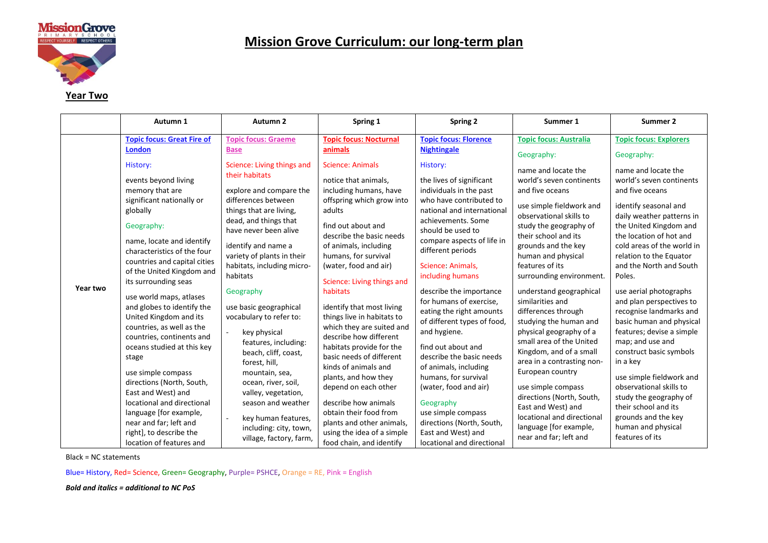

#### **Year Two**

|                   | Autumn 1                                                                                                                                                                                                                                                                                                                                                                                  | Autumn <sub>2</sub>                                                                                                                                                                                                                                                                                               | Spring 1                                                                                                                                                                                                                                                                                                                                                                                            | Spring 2                                                                                                                                                                                                                                                                                                                                                                                                                                                                                   | Summer 1                                                                                                                                                                                                                                                                                                                                                                                    | Summer 2                                                                                                                                                                                                                                                                                                                                                                   |
|-------------------|-------------------------------------------------------------------------------------------------------------------------------------------------------------------------------------------------------------------------------------------------------------------------------------------------------------------------------------------------------------------------------------------|-------------------------------------------------------------------------------------------------------------------------------------------------------------------------------------------------------------------------------------------------------------------------------------------------------------------|-----------------------------------------------------------------------------------------------------------------------------------------------------------------------------------------------------------------------------------------------------------------------------------------------------------------------------------------------------------------------------------------------------|--------------------------------------------------------------------------------------------------------------------------------------------------------------------------------------------------------------------------------------------------------------------------------------------------------------------------------------------------------------------------------------------------------------------------------------------------------------------------------------------|---------------------------------------------------------------------------------------------------------------------------------------------------------------------------------------------------------------------------------------------------------------------------------------------------------------------------------------------------------------------------------------------|----------------------------------------------------------------------------------------------------------------------------------------------------------------------------------------------------------------------------------------------------------------------------------------------------------------------------------------------------------------------------|
|                   | <b>Topic focus: Great Fire of</b>                                                                                                                                                                                                                                                                                                                                                         | <b>Topic focus: Graeme</b>                                                                                                                                                                                                                                                                                        | <b>Topic focus: Nocturnal</b>                                                                                                                                                                                                                                                                                                                                                                       | <b>Topic focus: Florence</b>                                                                                                                                                                                                                                                                                                                                                                                                                                                               | <b>Topic focus: Australia</b>                                                                                                                                                                                                                                                                                                                                                               | <b>Topic focus: Explorers</b>                                                                                                                                                                                                                                                                                                                                              |
|                   | <b>London</b><br>History:<br>events beyond living<br>memory that are<br>significant nationally or<br>globally<br>Geography:<br>name, locate and identify<br>characteristics of the four<br>countries and capital cities                                                                                                                                                                   | <b>Base</b><br>Science: Living things and<br>their habitats<br>explore and compare the<br>differences between<br>things that are living,<br>dead, and things that<br>have never been alive<br>identify and name a<br>variety of plants in their                                                                   | animals<br><b>Science: Animals</b><br>notice that animals,<br>including humans, have<br>offspring which grow into<br>adults<br>find out about and<br>describe the basic needs<br>of animals, including<br>humans, for survival                                                                                                                                                                      | <b>Nightingale</b><br>Geography:<br>History:<br>name and locate the<br>the lives of significant<br>individuals in the past<br>and five oceans<br>who have contributed to<br>national and international<br>observational skills to<br>achievements. Some<br>study the geography of<br>should be used to<br>their school and its<br>compare aspects of life in<br>grounds and the key<br>different periods<br>human and physical<br>features of its<br>Science: Animals,<br>including humans | world's seven continents<br>use simple fieldwork and                                                                                                                                                                                                                                                                                                                                        | Geography:<br>name and locate the<br>world's seven continents<br>and five oceans<br>identify seasonal and<br>daily weather patterns in<br>the United Kingdom and<br>the location of hot and<br>cold areas of the world in<br>relation to the Equator                                                                                                                       |
|                   | of the United Kingdom and<br>its surrounding seas                                                                                                                                                                                                                                                                                                                                         | habitats, including micro-<br>habitats                                                                                                                                                                                                                                                                            | (water, food and air)<br>Science: Living things and                                                                                                                                                                                                                                                                                                                                                 |                                                                                                                                                                                                                                                                                                                                                                                                                                                                                            | surrounding environment.                                                                                                                                                                                                                                                                                                                                                                    | and the North and South<br>Poles.                                                                                                                                                                                                                                                                                                                                          |
| Year two<br>stage | use world maps, atlases<br>and globes to identify the<br>United Kingdom and its<br>countries, as well as the<br>countries, continents and<br>oceans studied at this key<br>use simple compass<br>directions (North, South,<br>East and West) and<br>locational and directional<br>language [for example,<br>near and far; left and<br>right], to describe the<br>location of features and | Geography<br>use basic geographical<br>vocabulary to refer to:<br>key physical<br>features, including:<br>beach, cliff, coast,<br>forest, hill,<br>mountain, sea,<br>ocean, river, soil,<br>valley, vegetation,<br>season and weather<br>key human features,<br>including: city, town,<br>village, factory, farm, | habitats<br>identify that most living<br>things live in habitats to<br>which they are suited and<br>describe how different<br>habitats provide for the<br>basic needs of different<br>kinds of animals and<br>plants, and how they<br>depend on each other<br>describe how animals<br>obtain their food from<br>plants and other animals,<br>using the idea of a simple<br>food chain, and identify | describe the importance<br>for humans of exercise,<br>eating the right amounts<br>of different types of food,<br>and hygiene.<br>find out about and<br>describe the basic needs<br>of animals, including<br>humans, for survival<br>(water, food and air)<br>Geography<br>use simple compass<br>directions (North, South,<br>East and West) and<br>locational and directional                                                                                                              | understand geographical<br>similarities and<br>differences through<br>studying the human and<br>physical geography of a<br>small area of the United<br>Kingdom, and of a small<br>area in a contrasting non-<br>European country<br>use simple compass<br>directions (North, South,<br>East and West) and<br>locational and directional<br>language [for example,<br>near and far; left and | use aerial photographs<br>and plan perspectives to<br>recognise landmarks and<br>basic human and physical<br>features; devise a simple<br>map; and use and<br>construct basic symbols<br>in a key<br>use simple fieldwork and<br>observational skills to<br>study the geography of<br>their school and its<br>grounds and the key<br>human and physical<br>features of its |

Black = NC statements

Blue= History, Red= Science, Green= Geography, Purple= PSHCE, Orange = RE, Pink = English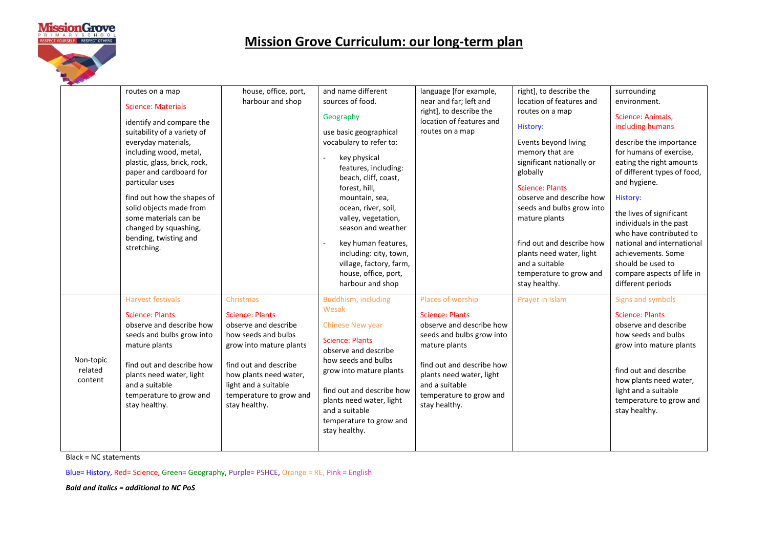

|                                 | routes on a map<br><b>Science: Materials</b><br>identify and compare the<br>suitability of a variety of<br>everyday materials,<br>including wood, metal,<br>plastic, glass, brick, rock,<br>paper and cardboard for<br>particular uses<br>find out how the shapes of<br>solid objects made from<br>some materials can be<br>changed by squashing,<br>bending, twisting and<br>stretching. | house, office, port,<br>harbour and shop                                                                                                                                                                                             | and name different<br>sources of food.<br>Geography<br>use basic geographical<br>vocabulary to refer to:<br>key physical<br>features, including:<br>beach, cliff, coast,<br>forest, hill,<br>mountain, sea,<br>ocean, river, soil,<br>valley, vegetation,<br>season and weather<br>key human features,<br>including: city, town,<br>village, factory, farm,<br>house, office, port,<br>harbour and shop | language [for example,<br>near and far; left and<br>right], to describe the<br>location of features and<br>routes on a map                                                                                                                   | right], to describe the<br>location of features and<br>routes on a map<br>History:<br>Events beyond living<br>memory that are<br>significant nationally or<br>globally<br><b>Science: Plants</b><br>observe and describe how<br>seeds and bulbs grow into<br>mature plants<br>find out and describe how<br>plants need water, light<br>and a suitable<br>temperature to grow and<br>stay healthy. | surrounding<br>environment.<br>Science: Animals,<br>including humans<br>describe the importance<br>for humans of exercise,<br>eating the right amounts<br>of different types of food,<br>and hygiene.<br>History:<br>the lives of significant<br>individuals in the past<br>who have contributed to<br>national and international<br>achievements. Some<br>should be used to<br>compare aspects of life in<br>different periods |
|---------------------------------|-------------------------------------------------------------------------------------------------------------------------------------------------------------------------------------------------------------------------------------------------------------------------------------------------------------------------------------------------------------------------------------------|--------------------------------------------------------------------------------------------------------------------------------------------------------------------------------------------------------------------------------------|---------------------------------------------------------------------------------------------------------------------------------------------------------------------------------------------------------------------------------------------------------------------------------------------------------------------------------------------------------------------------------------------------------|----------------------------------------------------------------------------------------------------------------------------------------------------------------------------------------------------------------------------------------------|---------------------------------------------------------------------------------------------------------------------------------------------------------------------------------------------------------------------------------------------------------------------------------------------------------------------------------------------------------------------------------------------------|---------------------------------------------------------------------------------------------------------------------------------------------------------------------------------------------------------------------------------------------------------------------------------------------------------------------------------------------------------------------------------------------------------------------------------|
| Non-topic<br>related<br>content | <b>Harvest festivals</b><br><b>Science: Plants</b><br>observe and describe how<br>seeds and bulbs grow into<br>mature plants<br>find out and describe how<br>plants need water, light<br>and a suitable<br>temperature to grow and<br>stay healthy.                                                                                                                                       | Christmas<br><b>Science: Plants</b><br>observe and describe<br>how seeds and bulbs<br>grow into mature plants<br>find out and describe<br>how plants need water,<br>light and a suitable<br>temperature to grow and<br>stay healthy. | Buddhism, including<br>Wesak<br><b>Chinese New year</b><br><b>Science: Plants</b><br>observe and describe<br>how seeds and bulbs<br>grow into mature plants<br>find out and describe how<br>plants need water, light<br>and a suitable<br>temperature to grow and<br>stay healthy.                                                                                                                      | Places of worship<br><b>Science: Plants</b><br>observe and describe how<br>seeds and bulbs grow into<br>mature plants<br>find out and describe how<br>plants need water, light<br>and a suitable<br>temperature to grow and<br>stay healthy. | Prayer in Islam                                                                                                                                                                                                                                                                                                                                                                                   | Signs and symbols<br><b>Science: Plants</b><br>observe and describe<br>how seeds and bulbs<br>grow into mature plants<br>find out and describe<br>how plants need water,<br>light and a suitable<br>temperature to grow and<br>stay healthy.                                                                                                                                                                                    |

Black = NC statements

Blue= History, Red= Science, Green= Geography, Purple= PSHCE, Orange = RE, Pink = English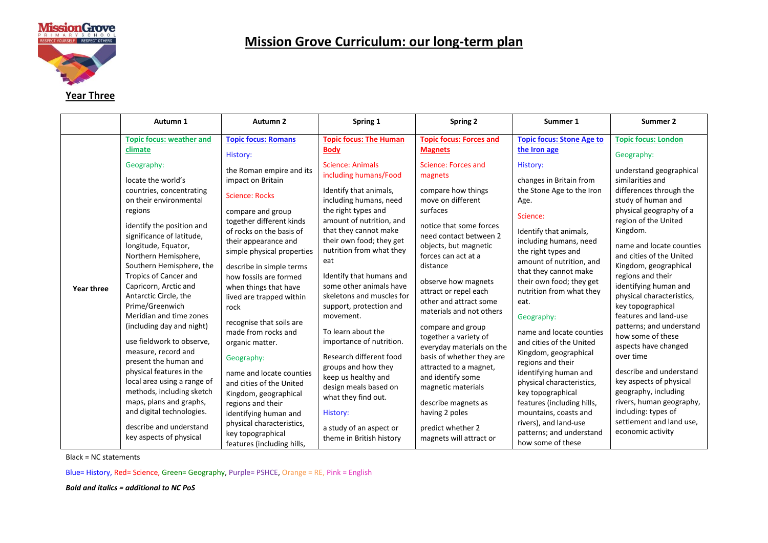

#### **Year Three**

|            | Autumn 1                                                                                                                                                                                                                                                                                                                                                                                                                                                                                                                                                                                                                                                                        | Autumn 2                                                                                                                                                                                                                                                                                                                                                                                                                                                                                                                                                                                                                        | Spring 1                                                                                                                                                                                                                                                                                                                                                                                                                                                                                                                                                                                                                  | <b>Spring 2</b>                                                                                                                                                                                                                                                                                                                                                                                                                                                                                                                                                                    | Summer 1                                                                                                                                                                                                                                                                                                                                                                                                                                                                                                                                                                                                             | Summer 2                                                                                                                                                                                                                                                                                                                                                                                                                                                                                                                                                                                                                                      |
|------------|---------------------------------------------------------------------------------------------------------------------------------------------------------------------------------------------------------------------------------------------------------------------------------------------------------------------------------------------------------------------------------------------------------------------------------------------------------------------------------------------------------------------------------------------------------------------------------------------------------------------------------------------------------------------------------|---------------------------------------------------------------------------------------------------------------------------------------------------------------------------------------------------------------------------------------------------------------------------------------------------------------------------------------------------------------------------------------------------------------------------------------------------------------------------------------------------------------------------------------------------------------------------------------------------------------------------------|---------------------------------------------------------------------------------------------------------------------------------------------------------------------------------------------------------------------------------------------------------------------------------------------------------------------------------------------------------------------------------------------------------------------------------------------------------------------------------------------------------------------------------------------------------------------------------------------------------------------------|------------------------------------------------------------------------------------------------------------------------------------------------------------------------------------------------------------------------------------------------------------------------------------------------------------------------------------------------------------------------------------------------------------------------------------------------------------------------------------------------------------------------------------------------------------------------------------|----------------------------------------------------------------------------------------------------------------------------------------------------------------------------------------------------------------------------------------------------------------------------------------------------------------------------------------------------------------------------------------------------------------------------------------------------------------------------------------------------------------------------------------------------------------------------------------------------------------------|-----------------------------------------------------------------------------------------------------------------------------------------------------------------------------------------------------------------------------------------------------------------------------------------------------------------------------------------------------------------------------------------------------------------------------------------------------------------------------------------------------------------------------------------------------------------------------------------------------------------------------------------------|
|            | <b>Topic focus: weather and</b>                                                                                                                                                                                                                                                                                                                                                                                                                                                                                                                                                                                                                                                 | <b>Topic focus: Romans</b>                                                                                                                                                                                                                                                                                                                                                                                                                                                                                                                                                                                                      | <b>Topic focus: The Human</b>                                                                                                                                                                                                                                                                                                                                                                                                                                                                                                                                                                                             | <b>Topic focus: Forces and</b>                                                                                                                                                                                                                                                                                                                                                                                                                                                                                                                                                     | <b>Topic focus: Stone Age to</b>                                                                                                                                                                                                                                                                                                                                                                                                                                                                                                                                                                                     | <b>Topic focus: London</b>                                                                                                                                                                                                                                                                                                                                                                                                                                                                                                                                                                                                                    |
|            | climate                                                                                                                                                                                                                                                                                                                                                                                                                                                                                                                                                                                                                                                                         | History:                                                                                                                                                                                                                                                                                                                                                                                                                                                                                                                                                                                                                        | <b>Body</b>                                                                                                                                                                                                                                                                                                                                                                                                                                                                                                                                                                                                               | <b>Magnets</b>                                                                                                                                                                                                                                                                                                                                                                                                                                                                                                                                                                     | the Iron age                                                                                                                                                                                                                                                                                                                                                                                                                                                                                                                                                                                                         | Geography:                                                                                                                                                                                                                                                                                                                                                                                                                                                                                                                                                                                                                                    |
| Year three | Geography:<br>locate the world's<br>countries, concentrating<br>on their environmental<br>regions<br>identify the position and<br>significance of latitude,<br>longitude, Equator,<br>Northern Hemisphere,<br>Southern Hemisphere, the<br>Tropics of Cancer and<br>Capricorn, Arctic and<br>Antarctic Circle, the<br>Prime/Greenwich<br>Meridian and time zones<br>(including day and night)<br>use fieldwork to observe,<br>measure, record and<br>present the human and<br>physical features in the<br>local area using a range of<br>methods, including sketch<br>maps, plans and graphs,<br>and digital technologies.<br>describe and understand<br>key aspects of physical | the Roman empire and its<br>impact on Britain<br><b>Science: Rocks</b><br>compare and group<br>together different kinds<br>of rocks on the basis of<br>their appearance and<br>simple physical properties<br>describe in simple terms<br>how fossils are formed<br>when things that have<br>lived are trapped within<br>rock<br>recognise that soils are<br>made from rocks and<br>organic matter.<br>Geography:<br>name and locate counties<br>and cities of the United<br>Kingdom, geographical<br>regions and their<br>identifying human and<br>physical characteristics,<br>key topographical<br>features (including hills, | <b>Science: Animals</b><br>including humans/Food<br>Identify that animals,<br>including humans, need<br>the right types and<br>amount of nutrition, and<br>that they cannot make<br>their own food; they get<br>nutrition from what they<br>eat<br>Identify that humans and<br>some other animals have<br>skeletons and muscles for<br>support, protection and<br>movement.<br>To learn about the<br>importance of nutrition.<br>Research different food<br>groups and how they<br>keep us healthy and<br>design meals based on<br>what they find out.<br>History:<br>a study of an aspect or<br>theme in British history | Science: Forces and<br>magnets<br>compare how things<br>move on different<br>surfaces<br>notice that some forces<br>need contact between 2<br>objects, but magnetic<br>forces can act at a<br>distance<br>observe how magnets<br>attract or repel each<br>other and attract some<br>materials and not others<br>compare and group<br>together a variety of<br>everyday materials on the<br>basis of whether they are<br>attracted to a magnet,<br>and identify some<br>magnetic materials<br>describe magnets as<br>having 2 poles<br>predict whether 2<br>magnets will attract or | History:<br>changes in Britain from<br>the Stone Age to the Iron<br>Age.<br>Science:<br>Identify that animals,<br>including humans, need<br>the right types and<br>amount of nutrition, and<br>that they cannot make<br>their own food; they get<br>nutrition from what they<br>eat.<br>Geography:<br>name and locate counties<br>and cities of the United<br>Kingdom, geographical<br>regions and their<br>identifying human and<br>physical characteristics,<br>key topographical<br>features (including hills,<br>mountains, coasts and<br>rivers), and land-use<br>patterns; and understand<br>how some of these | understand geographical<br>similarities and<br>differences through the<br>study of human and<br>physical geography of a<br>region of the United<br>Kingdom.<br>name and locate counties<br>and cities of the United<br>Kingdom, geographical<br>regions and their<br>identifying human and<br>physical characteristics,<br>key topographical<br>features and land-use<br>patterns; and understand<br>how some of these<br>aspects have changed<br>over time<br>describe and understand<br>key aspects of physical<br>geography, including<br>rivers, human geography,<br>including: types of<br>settlement and land use,<br>economic activity |

Black = NC statements

Blue= History, Red= Science, Green= Geography, Purple= PSHCE, Orange = RE, Pink = English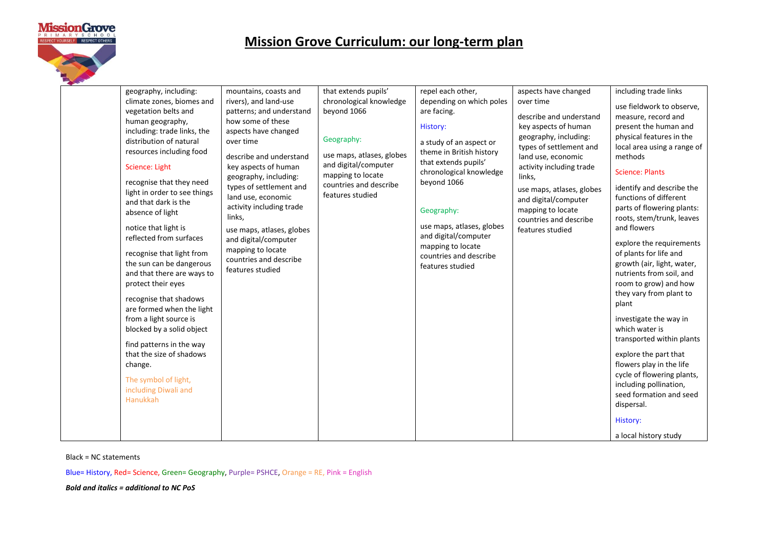

| geography, including:<br>climate zones, biomes and<br>vegetation belts and<br>human geography,<br>including: trade links, the<br>distribution of natural<br>resources including food<br>Science: Light<br>recognise that they need<br>light in order to see things<br>and that dark is the<br>absence of light<br>notice that light is<br>reflected from surfaces<br>recognise that light from<br>the sun can be dangerous<br>and that there are ways to<br>protect their eyes<br>recognise that shadows<br>are formed when the light<br>from a light source is<br>blocked by a solid object<br>find patterns in the way<br>that the size of shadows<br>change.<br>The symbol of light,<br>including Diwali and<br><b>Hanukkah</b> | mountains, coasts and<br>rivers), and land-use<br>patterns; and understand<br>how some of these<br>aspects have changed<br>over time<br>describe and understand<br>key aspects of human<br>geography, including:<br>types of settlement and<br>land use, economic<br>activity including trade<br>links,<br>use maps, atlases, globes<br>and digital/computer<br>mapping to locate<br>countries and describe<br>features studied | that extends pupils'<br>chronological knowledge<br>beyond 1066<br>Geography:<br>use maps, atlases, globes<br>and digital/computer<br>mapping to locate<br>countries and describe<br>features studied | repel each other,<br>depending on which poles<br>are facing.<br>History:<br>a study of an aspect or<br>theme in British history<br>that extends pupils'<br>chronological knowledge<br>beyond 1066<br>Geography:<br>use maps, atlases, globes<br>and digital/computer<br>mapping to locate<br>countries and describe<br>features studied | aspects have changed<br>over time<br>describe and understand<br>key aspects of human<br>geography, including:<br>types of settlement and<br>land use, economic<br>activity including trade<br>links,<br>use maps, atlases, globes<br>and digital/computer<br>mapping to locate<br>countries and describe<br>features studied | including trade links<br>use fieldwork to observe,<br>measure, record and<br>present the human and<br>physical features in the<br>local area using a range of<br>methods<br><b>Science: Plants</b><br>identify and describe the<br>functions of different<br>parts of flowering plants:<br>roots, stem/trunk, leaves<br>and flowers<br>explore the requirements<br>of plants for life and<br>growth (air, light, water,<br>nutrients from soil, and<br>room to grow) and how<br>they vary from plant to<br>plant<br>investigate the way in<br>which water is<br>transported within plants<br>explore the part that<br>flowers play in the life<br>cycle of flowering plants,<br>including pollination,<br>seed formation and seed<br>dispersal. |
|------------------------------------------------------------------------------------------------------------------------------------------------------------------------------------------------------------------------------------------------------------------------------------------------------------------------------------------------------------------------------------------------------------------------------------------------------------------------------------------------------------------------------------------------------------------------------------------------------------------------------------------------------------------------------------------------------------------------------------|---------------------------------------------------------------------------------------------------------------------------------------------------------------------------------------------------------------------------------------------------------------------------------------------------------------------------------------------------------------------------------------------------------------------------------|------------------------------------------------------------------------------------------------------------------------------------------------------------------------------------------------------|-----------------------------------------------------------------------------------------------------------------------------------------------------------------------------------------------------------------------------------------------------------------------------------------------------------------------------------------|------------------------------------------------------------------------------------------------------------------------------------------------------------------------------------------------------------------------------------------------------------------------------------------------------------------------------|-------------------------------------------------------------------------------------------------------------------------------------------------------------------------------------------------------------------------------------------------------------------------------------------------------------------------------------------------------------------------------------------------------------------------------------------------------------------------------------------------------------------------------------------------------------------------------------------------------------------------------------------------------------------------------------------------------------------------------------------------|
|                                                                                                                                                                                                                                                                                                                                                                                                                                                                                                                                                                                                                                                                                                                                    |                                                                                                                                                                                                                                                                                                                                                                                                                                 |                                                                                                                                                                                                      |                                                                                                                                                                                                                                                                                                                                         |                                                                                                                                                                                                                                                                                                                              | History:                                                                                                                                                                                                                                                                                                                                                                                                                                                                                                                                                                                                                                                                                                                                        |
|                                                                                                                                                                                                                                                                                                                                                                                                                                                                                                                                                                                                                                                                                                                                    |                                                                                                                                                                                                                                                                                                                                                                                                                                 |                                                                                                                                                                                                      |                                                                                                                                                                                                                                                                                                                                         |                                                                                                                                                                                                                                                                                                                              | a local history study                                                                                                                                                                                                                                                                                                                                                                                                                                                                                                                                                                                                                                                                                                                           |

Black = NC statements

Blue= History, Red= Science, Green= Geography, Purple= PSHCE, Orange = RE, Pink = English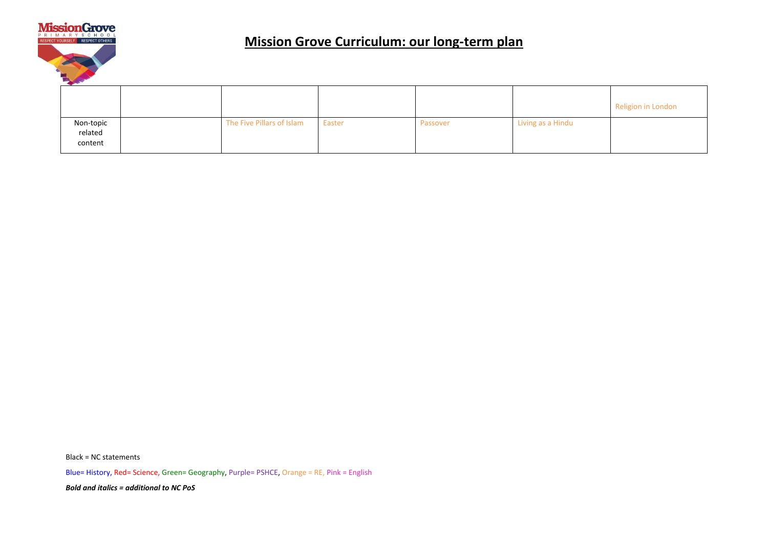

|                                 |                           |        |          |                   | Religion in London |
|---------------------------------|---------------------------|--------|----------|-------------------|--------------------|
| Non-topic<br>related<br>content | The Five Pillars of Islam | Easter | Passover | Living as a Hindu |                    |

Black = NC statements

Blue= History, Red= Science, Green= Geography, Purple= PSHCE, Orange = RE, Pink = English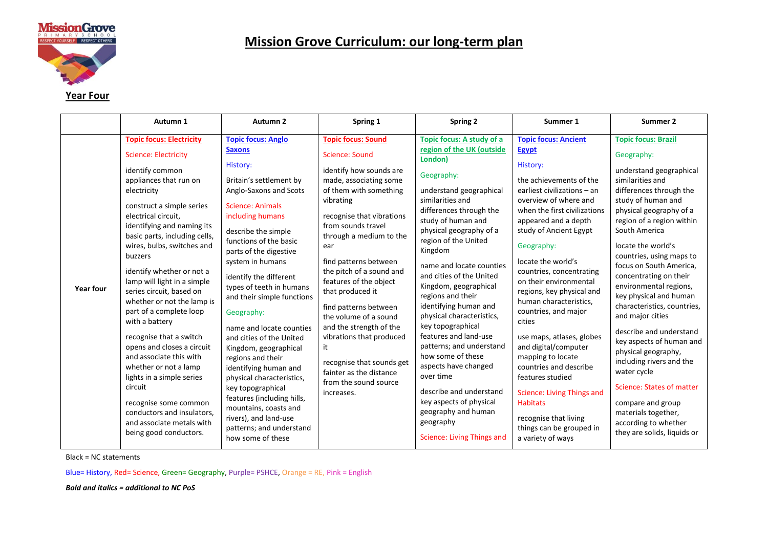

#### **Year Four**

|                  | Autumn 1                                                                                                                                                                                                                                                                                                                                                                                                                                                                                                                                                                                                                                                                                                                     | Autumn 2                                                                                                                                                                                                                                                                                                                                                                                                                                                                                                                                                                                                                                                               | Spring 1                                                                                                                                                                                                                                                                                                                                                                                                                                                                                                                                             | <b>Spring 2</b>                                                                                                                                                                                                                                                                                                                                                                                                                                                                                                                                                                                                                                                       | Summer 1                                                                                                                                                                                                                                                                                                                                                                                                                                                                                                                                                                                                                                                           | Summer 2                                                                                                                                                                                                                                                                                                                                                                                                                                                                                                                                                                                                                                                                                 |
|------------------|------------------------------------------------------------------------------------------------------------------------------------------------------------------------------------------------------------------------------------------------------------------------------------------------------------------------------------------------------------------------------------------------------------------------------------------------------------------------------------------------------------------------------------------------------------------------------------------------------------------------------------------------------------------------------------------------------------------------------|------------------------------------------------------------------------------------------------------------------------------------------------------------------------------------------------------------------------------------------------------------------------------------------------------------------------------------------------------------------------------------------------------------------------------------------------------------------------------------------------------------------------------------------------------------------------------------------------------------------------------------------------------------------------|------------------------------------------------------------------------------------------------------------------------------------------------------------------------------------------------------------------------------------------------------------------------------------------------------------------------------------------------------------------------------------------------------------------------------------------------------------------------------------------------------------------------------------------------------|-----------------------------------------------------------------------------------------------------------------------------------------------------------------------------------------------------------------------------------------------------------------------------------------------------------------------------------------------------------------------------------------------------------------------------------------------------------------------------------------------------------------------------------------------------------------------------------------------------------------------------------------------------------------------|--------------------------------------------------------------------------------------------------------------------------------------------------------------------------------------------------------------------------------------------------------------------------------------------------------------------------------------------------------------------------------------------------------------------------------------------------------------------------------------------------------------------------------------------------------------------------------------------------------------------------------------------------------------------|------------------------------------------------------------------------------------------------------------------------------------------------------------------------------------------------------------------------------------------------------------------------------------------------------------------------------------------------------------------------------------------------------------------------------------------------------------------------------------------------------------------------------------------------------------------------------------------------------------------------------------------------------------------------------------------|
| <b>Year four</b> | <b>Topic focus: Electricity</b><br><b>Science: Electricity</b><br>identify common<br>appliances that run on<br>electricity<br>construct a simple series<br>electrical circuit,<br>identifying and naming its<br>basic parts, including cells,<br>wires, bulbs, switches and<br>buzzers<br>identify whether or not a<br>lamp will light in a simple<br>series circuit, based on<br>whether or not the lamp is<br>part of a complete loop<br>with a battery<br>recognise that a switch<br>opens and closes a circuit<br>and associate this with<br>whether or not a lamp<br>lights in a simple series<br>circuit<br>recognise some common<br>conductors and insulators,<br>and associate metals with<br>being good conductors. | <b>Topic focus: Anglo</b><br><b>Saxons</b><br>History:<br>Britain's settlement by<br>Anglo-Saxons and Scots<br>Science: Animals<br>including humans<br>describe the simple<br>functions of the basic<br>parts of the digestive<br>system in humans<br>identify the different<br>types of teeth in humans<br>and their simple functions<br>Geography:<br>name and locate counties<br>and cities of the United<br>Kingdom, geographical<br>regions and their<br>identifying human and<br>physical characteristics,<br>key topographical<br>features (including hills,<br>mountains, coasts and<br>rivers), and land-use<br>patterns; and understand<br>how some of these | <b>Topic focus: Sound</b><br><b>Science: Sound</b><br>identify how sounds are<br>made, associating some<br>of them with something<br>vibrating<br>recognise that vibrations<br>from sounds travel<br>through a medium to the<br>ear<br>find patterns between<br>the pitch of a sound and<br>features of the object<br>that produced it<br>find patterns between<br>the volume of a sound<br>and the strength of the<br>vibrations that produced<br>it<br>recognise that sounds get<br>fainter as the distance<br>from the sound source<br>increases. | Topic focus: A study of a<br>region of the UK (outside<br>London)<br>Geography:<br>understand geographical<br>similarities and<br>differences through the<br>study of human and<br>physical geography of a<br>region of the United<br>Kingdom<br>name and locate counties<br>and cities of the United<br>Kingdom, geographical<br>regions and their<br>identifying human and<br>physical characteristics,<br>key topographical<br>features and land-use<br>patterns; and understand<br>how some of these<br>aspects have changed<br>over time<br>describe and understand<br>key aspects of physical<br>geography and human<br>geography<br>Science: Living Things and | <b>Topic focus: Ancient</b><br>Egypt<br>History:<br>the achievements of the<br>earliest civilizations - an<br>overview of where and<br>when the first civilizations<br>appeared and a depth<br>study of Ancient Egypt<br>Geography:<br>locate the world's<br>countries, concentrating<br>on their environmental<br>regions, key physical and<br>human characteristics,<br>countries, and major<br>cities<br>use maps, atlases, globes<br>and digital/computer<br>mapping to locate<br>countries and describe<br>features studied<br><b>Science: Living Things and</b><br><b>Habitats</b><br>recognise that living<br>things can be grouped in<br>a variety of ways | <b>Topic focus: Brazil</b><br>Geography:<br>understand geographical<br>similarities and<br>differences through the<br>study of human and<br>physical geography of a<br>region of a region within<br>South America<br>locate the world's<br>countries, using maps to<br>focus on South America.<br>concentrating on their<br>environmental regions,<br>key physical and human<br>characteristics, countries,<br>and major cities<br>describe and understand<br>key aspects of human and<br>physical geography,<br>including rivers and the<br>water cycle<br>Science: States of matter<br>compare and group<br>materials together,<br>according to whether<br>they are solids, liquids or |

Black = NC statements

Blue= History, Red= Science, Green= Geography, Purple= PSHCE, Orange = RE, Pink = English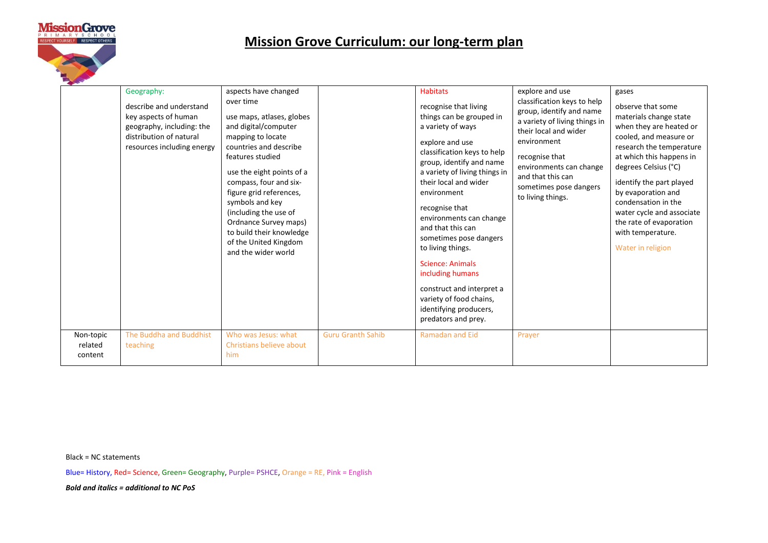

|                      | Geography:<br>describe and understand<br>key aspects of human<br>geography, including: the<br>distribution of natural<br>resources including energy | aspects have changed<br>over time<br>use maps, atlases, globes<br>and digital/computer<br>mapping to locate<br>countries and describe<br>features studied<br>use the eight points of a<br>compass, four and six-<br>figure grid references,<br>symbols and key<br>(including the use of<br>Ordnance Survey maps)<br>to build their knowledge<br>of the United Kingdom<br>and the wider world |                          | <b>Habitats</b><br>recognise that living<br>things can be grouped in<br>a variety of ways<br>explore and use<br>classification keys to help<br>group, identify and name<br>a variety of living things in<br>their local and wider<br>environment<br>recognise that<br>environments can change<br>and that this can<br>sometimes pose dangers<br>to living things.<br><b>Science: Animals</b><br>including humans<br>construct and interpret a<br>variety of food chains,<br>identifying producers, | explore and use<br>classification keys to help<br>group, identify and name<br>a variety of living things in<br>their local and wider<br>environment<br>recognise that<br>environments can change<br>and that this can<br>sometimes pose dangers<br>to living things. | gases<br>observe that some<br>materials change state<br>when they are heated or<br>cooled, and measure or<br>research the temperature<br>at which this happens in<br>degrees Celsius (°C)<br>identify the part played<br>by evaporation and<br>condensation in the<br>water cycle and associate<br>the rate of evaporation<br>with temperature.<br>Water in religion |
|----------------------|-----------------------------------------------------------------------------------------------------------------------------------------------------|----------------------------------------------------------------------------------------------------------------------------------------------------------------------------------------------------------------------------------------------------------------------------------------------------------------------------------------------------------------------------------------------|--------------------------|----------------------------------------------------------------------------------------------------------------------------------------------------------------------------------------------------------------------------------------------------------------------------------------------------------------------------------------------------------------------------------------------------------------------------------------------------------------------------------------------------|----------------------------------------------------------------------------------------------------------------------------------------------------------------------------------------------------------------------------------------------------------------------|----------------------------------------------------------------------------------------------------------------------------------------------------------------------------------------------------------------------------------------------------------------------------------------------------------------------------------------------------------------------|
| Non-topic<br>related | The Buddha and Buddhist<br>teaching                                                                                                                 | Who was Jesus: what<br>Christians believe about                                                                                                                                                                                                                                                                                                                                              | <b>Guru Granth Sahib</b> | predators and prey.<br><b>Ramadan and Eid</b>                                                                                                                                                                                                                                                                                                                                                                                                                                                      | Prayer                                                                                                                                                                                                                                                               |                                                                                                                                                                                                                                                                                                                                                                      |
| content              |                                                                                                                                                     | him                                                                                                                                                                                                                                                                                                                                                                                          |                          |                                                                                                                                                                                                                                                                                                                                                                                                                                                                                                    |                                                                                                                                                                                                                                                                      |                                                                                                                                                                                                                                                                                                                                                                      |

Black = NC statements

Blue= History, Red= Science, Green= Geography, Purple= PSHCE, Orange = RE, Pink = English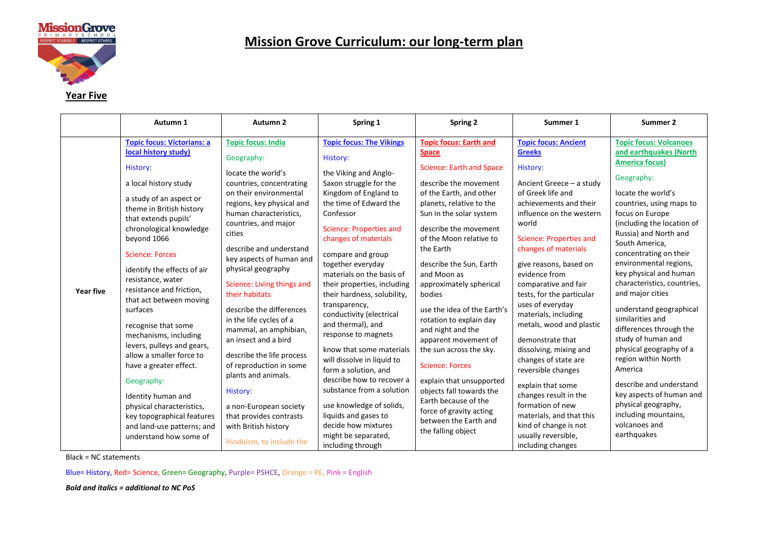

| Year Five |  |
|-----------|--|
|           |  |

|           | Autumn 1                                                                                                                                                                                                                                                                                                                                                                                                                                                                                                                                                                                                                                                            | Autumn 2                                                                                                                                                                                                                                                                                                                                                                                                                                                                                                                                                                                                                                              | Spring 1                                                                                                                                                                                                                                                                                                                                                                                                                                                                                                                                                                                                                                                                                             | <b>Spring 2</b>                                                                                                                                                                                                                                                                                                                                                                                                                                                                                                                                                                                                                                                   | Summer 1                                                                                                                                                                                                                                                                                                                                                                                                                                                                                                                                                                                                                                             | Summer 2                                                                                                                                                                                                                                                                                                                                                                                                                                                                                                                                                                                                                                                                         |
|-----------|---------------------------------------------------------------------------------------------------------------------------------------------------------------------------------------------------------------------------------------------------------------------------------------------------------------------------------------------------------------------------------------------------------------------------------------------------------------------------------------------------------------------------------------------------------------------------------------------------------------------------------------------------------------------|-------------------------------------------------------------------------------------------------------------------------------------------------------------------------------------------------------------------------------------------------------------------------------------------------------------------------------------------------------------------------------------------------------------------------------------------------------------------------------------------------------------------------------------------------------------------------------------------------------------------------------------------------------|------------------------------------------------------------------------------------------------------------------------------------------------------------------------------------------------------------------------------------------------------------------------------------------------------------------------------------------------------------------------------------------------------------------------------------------------------------------------------------------------------------------------------------------------------------------------------------------------------------------------------------------------------------------------------------------------------|-------------------------------------------------------------------------------------------------------------------------------------------------------------------------------------------------------------------------------------------------------------------------------------------------------------------------------------------------------------------------------------------------------------------------------------------------------------------------------------------------------------------------------------------------------------------------------------------------------------------------------------------------------------------|------------------------------------------------------------------------------------------------------------------------------------------------------------------------------------------------------------------------------------------------------------------------------------------------------------------------------------------------------------------------------------------------------------------------------------------------------------------------------------------------------------------------------------------------------------------------------------------------------------------------------------------------------|----------------------------------------------------------------------------------------------------------------------------------------------------------------------------------------------------------------------------------------------------------------------------------------------------------------------------------------------------------------------------------------------------------------------------------------------------------------------------------------------------------------------------------------------------------------------------------------------------------------------------------------------------------------------------------|
| Year five | <b>Topic focus: Victorians: a</b><br>local history study)<br>History:<br>a local history study<br>a study of an aspect or<br>theme in British history<br>that extends pupils'<br>chronological knowledge<br>beyond 1066<br><b>Science: Forces</b><br>identify the effects of air<br>resistance, water<br>resistance and friction,<br>that act between moving<br>surfaces<br>recognise that some<br>mechanisms, including<br>levers, pulleys and gears,<br>allow a smaller force to<br>have a greater effect.<br>Geography:<br>Identity human and<br>physical characteristics,<br>key topographical features<br>and land-use patterns; and<br>understand how some of | <b>Topic focus: India</b><br>Geography:<br>locate the world's<br>countries, concentrating<br>on their environmental<br>regions, key physical and<br>human characteristics,<br>countries, and major<br>cities<br>describe and understand<br>key aspects of human and<br>physical geography<br>Science: Living things and<br>their habitats<br>describe the differences<br>in the life cycles of a<br>mammal, an amphibian,<br>an insect and a bird<br>describe the life process<br>of reproduction in some<br>plants and animals.<br>History:<br>a non-European society<br>that provides contrasts<br>with British history<br>Hinduism, to include the | <b>Topic focus: The Vikings</b><br>History:<br>the Viking and Anglo-<br>Saxon struggle for the<br>Kingdom of England to<br>the time of Edward the<br>Confessor<br><b>Science: Properties and</b><br>changes of materials<br>compare and group<br>together everyday<br>materials on the basis of<br>their properties, including<br>their hardness, solubility,<br>transparency,<br>conductivity (electrical<br>and thermal), and<br>response to magnets<br>know that some materials<br>will dissolve in liquid to<br>form a solution, and<br>describe how to recover a<br>substance from a solution<br>use knowledge of solids,<br>liquids and gases to<br>decide how mixtures<br>might be separated, | <b>Topic focus: Earth and</b><br><b>Space</b><br><b>Science: Earth and Space</b><br>describe the movement<br>of the Earth, and other<br>planets, relative to the<br>Sun in the solar system<br>describe the movement<br>of the Moon relative to<br>the Earth<br>describe the Sun, Earth<br>and Moon as<br>approximately spherical<br>bodies<br>use the idea of the Earth's<br>rotation to explain day<br>and night and the<br>apparent movement of<br>the sun across the sky.<br><b>Science: Forces</b><br>explain that unsupported<br>objects fall towards the<br>Earth because of the<br>force of gravity acting<br>between the Earth and<br>the falling object | <b>Topic focus: Ancient</b><br><b>Greeks</b><br>History:<br>Ancient Greece - a study<br>of Greek life and<br>achievements and their<br>influence on the western<br>world<br><b>Science: Properties and</b><br>changes of materials<br>give reasons, based on<br>evidence from<br>comparative and fair<br>tests, for the particular<br>uses of everyday<br>materials, including<br>metals, wood and plastic<br>demonstrate that<br>dissolving, mixing and<br>changes of state are<br>reversible changes<br>explain that some<br>changes result in the<br>formation of new<br>materials, and that this<br>kind of change is not<br>usually reversible, | <b>Topic focus: Volcanoes</b><br>and earthquakes (North<br><b>America focus)</b><br>Geography:<br>locate the world's<br>countries, using maps to<br>focus on Europe<br>(including the location of<br>Russia) and North and<br>South America,<br>concentrating on their<br>environmental regions,<br>key physical and human<br>characteristics, countries,<br>and major cities<br>understand geographical<br>similarities and<br>differences through the<br>study of human and<br>physical geography of a<br>region within North<br>America<br>describe and understand<br>key aspects of human and<br>physical geography,<br>including mountains,<br>volcanoes and<br>earthquakes |
|           |                                                                                                                                                                                                                                                                                                                                                                                                                                                                                                                                                                                                                                                                     |                                                                                                                                                                                                                                                                                                                                                                                                                                                                                                                                                                                                                                                       | including through                                                                                                                                                                                                                                                                                                                                                                                                                                                                                                                                                                                                                                                                                    |                                                                                                                                                                                                                                                                                                                                                                                                                                                                                                                                                                                                                                                                   | including changes                                                                                                                                                                                                                                                                                                                                                                                                                                                                                                                                                                                                                                    |                                                                                                                                                                                                                                                                                                                                                                                                                                                                                                                                                                                                                                                                                  |

Black = NC statements

Blue= History, Red= Science, Green= Geography, Purple= PSHCE, Orange = RE, Pink = English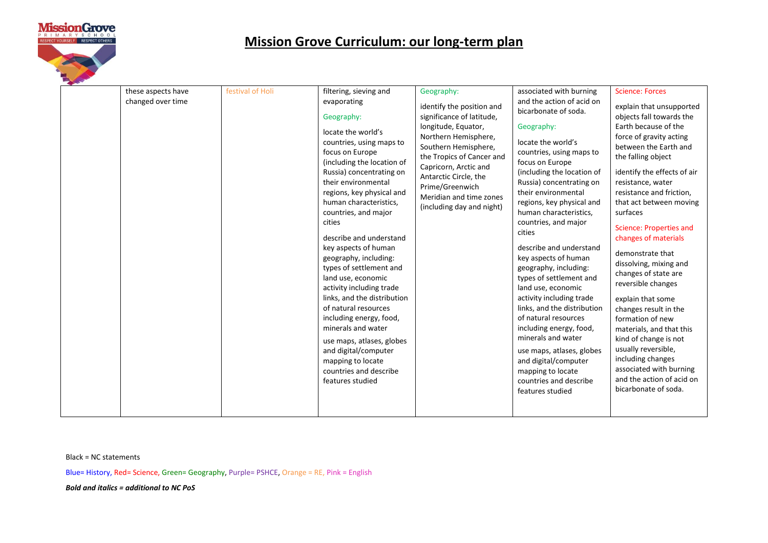

Black = NC statements

Blue= History, Red= Science, Green= Geography, Purple= PSHCE, Orange = RE, Pink = English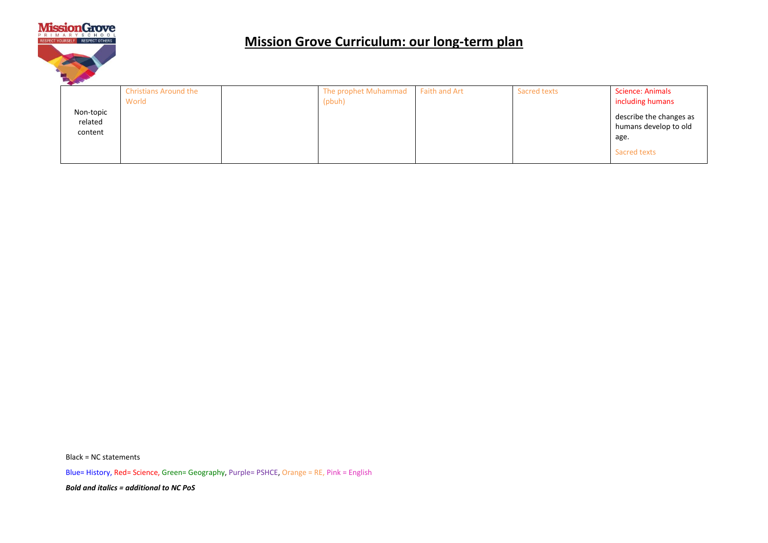

|                                 | <b>Christians Around the</b><br>World | The prophet Muhammad<br>(pbuh) | Faith and Art | Sacred texts | <b>Science: Animals</b><br>including humans                              |
|---------------------------------|---------------------------------------|--------------------------------|---------------|--------------|--------------------------------------------------------------------------|
| Non-topic<br>related<br>content |                                       |                                |               |              | describe the changes as<br>humans develop to old<br>age.<br>Sacred texts |

Black = NC statements

Blue= History, Red= Science, Green= Geography, Purple= PSHCE, Orange = RE, Pink = English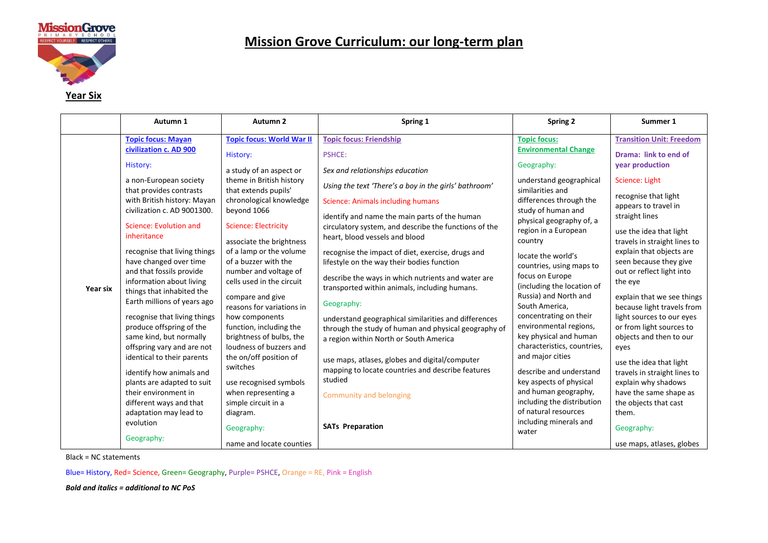

| Æ | ıх<br>u |
|---|---------|
|   |         |

|          | Autumn 1                                                                                                  | Autumn <sub>2</sub>                                                                                    | Spring 1                                                                                                                                                                                                                                                                                                                                      | <b>Spring 2</b>                                                                                                          | Summer 1                                                 |
|----------|-----------------------------------------------------------------------------------------------------------|--------------------------------------------------------------------------------------------------------|-----------------------------------------------------------------------------------------------------------------------------------------------------------------------------------------------------------------------------------------------------------------------------------------------------------------------------------------------|--------------------------------------------------------------------------------------------------------------------------|----------------------------------------------------------|
|          | <b>Topic focus: Mayan</b>                                                                                 | <b>Topic focus: World War II</b>                                                                       | <b>Topic focus: Friendship</b>                                                                                                                                                                                                                                                                                                                | <b>Topic focus:</b>                                                                                                      | <b>Transition Unit: Freedom</b>                          |
|          | civilization c. AD 900                                                                                    | History:                                                                                               | <b>PSHCE:</b>                                                                                                                                                                                                                                                                                                                                 | <b>Environmental Change</b>                                                                                              | Drama: link to end of                                    |
|          | History:                                                                                                  | a study of an aspect or                                                                                | Sex and relationships education                                                                                                                                                                                                                                                                                                               | Geography:                                                                                                               | year production                                          |
|          | a non-European society<br>that provides contrasts                                                         | theme in British history<br>that extends pupils'                                                       | Using the text 'There's a boy in the girls' bathroom'                                                                                                                                                                                                                                                                                         | understand geographical<br>similarities and<br>differences through the<br>study of human and<br>physical geography of, a | Science: Light                                           |
|          | with British history: Mayan                                                                               | chronological knowledge                                                                                | <b>Science: Animals including humans</b><br>identify and name the main parts of the human<br>circulatory system, and describe the functions of the<br>heart, blood vessels and blood<br>recognise the impact of diet, exercise, drugs and<br>lifestyle on the way their bodies function<br>describe the ways in which nutrients and water are |                                                                                                                          | recognise that light<br>appears to travel in             |
| Year six | civilization c. AD 9001300.                                                                               | beyond 1066                                                                                            |                                                                                                                                                                                                                                                                                                                                               |                                                                                                                          | straight lines                                           |
|          | Science: Evolution and<br>inheritance                                                                     | <b>Science: Electricity</b>                                                                            |                                                                                                                                                                                                                                                                                                                                               | region in a European                                                                                                     | use the idea that light                                  |
|          | recognise that living things                                                                              | associate the brightness<br>of a lamp or the volume                                                    |                                                                                                                                                                                                                                                                                                                                               | country                                                                                                                  | travels in straight lines to<br>explain that objects are |
|          | have changed over time                                                                                    | of a buzzer with the<br>and that fossils provide<br>number and voltage of<br>cells used in the circuit |                                                                                                                                                                                                                                                                                                                                               | locate the world's<br>countries, using maps to                                                                           | seen because they give                                   |
|          | information about living                                                                                  |                                                                                                        |                                                                                                                                                                                                                                                                                                                                               | focus on Europe<br>(including the location of                                                                            | out or reflect light into<br>the eye                     |
|          | things that inhabited the<br>compare and give<br>Earth millions of years ago<br>reasons for variations in | transported within animals, including humans.<br>Geography:                                            | Russia) and North and<br>South America,                                                                                                                                                                                                                                                                                                       | explain that we see things<br>because light travels from                                                                 |                                                          |
|          | recognise that living things                                                                              | how components                                                                                         | understand geographical similarities and differences                                                                                                                                                                                                                                                                                          | concentrating on their<br>environmental regions,                                                                         | light sources to our eyes                                |
|          | produce offspring of the<br>same kind, but normally                                                       | function, including the<br>brightness of bulbs, the                                                    | through the study of human and physical geography of<br>a region within North or South America                                                                                                                                                                                                                                                | key physical and human                                                                                                   | or from light sources to<br>objects and then to our      |
|          | offspring vary and are not                                                                                | loudness of buzzers and                                                                                |                                                                                                                                                                                                                                                                                                                                               | characteristics, countries,                                                                                              | eyes                                                     |
|          | identical to their parents                                                                                | the on/off position of<br>switches                                                                     | use maps, atlases, globes and digital/computer<br>mapping to locate countries and describe features<br>studied<br>Community and belonging                                                                                                                                                                                                     | and major cities                                                                                                         | use the idea that light                                  |
|          | identify how animals and                                                                                  |                                                                                                        |                                                                                                                                                                                                                                                                                                                                               | describe and understand<br>key aspects of physical                                                                       | travels in straight lines to                             |
|          | plants are adapted to suit<br>their environment in                                                        | use recognised symbols<br>when representing a                                                          |                                                                                                                                                                                                                                                                                                                                               | and human geography,                                                                                                     | explain why shadows<br>have the same shape as            |
|          | different ways and that                                                                                   | simple circuit in a                                                                                    |                                                                                                                                                                                                                                                                                                                                               | including the distribution                                                                                               | the objects that cast                                    |
|          | adaptation may lead to                                                                                    | diagram.                                                                                               |                                                                                                                                                                                                                                                                                                                                               | of natural resources                                                                                                     | them.                                                    |
|          | evolution                                                                                                 | Geography:                                                                                             | <b>SATs Preparation</b>                                                                                                                                                                                                                                                                                                                       | including minerals and<br>water                                                                                          | Geography:                                               |
|          | Geography:                                                                                                | name and locate counties                                                                               |                                                                                                                                                                                                                                                                                                                                               |                                                                                                                          | use maps, atlases, globes                                |

Black = NC statements

Blue= History, Red= Science, Green= Geography, Purple= PSHCE, Orange = RE, Pink = English